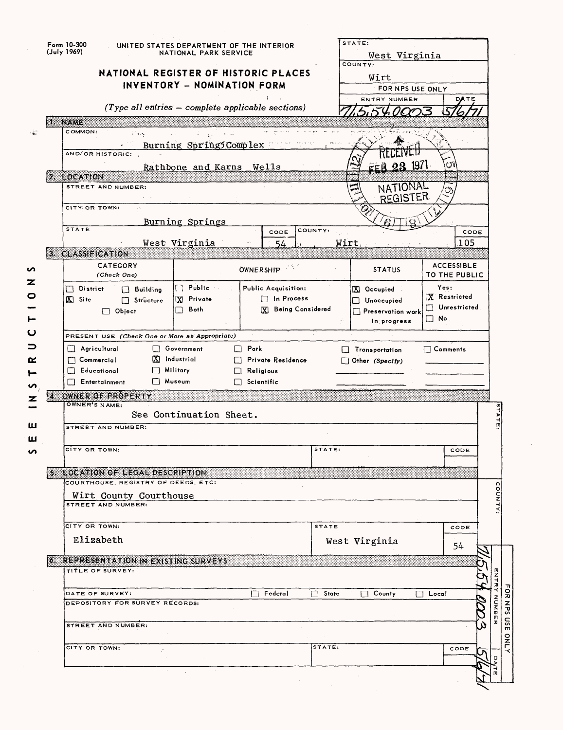|                                | Form 10-300<br>(July 1969) |                                                                         | UNITED STATES DEPARTMENT OF THE INTERIOR<br>NATIONAL PARK SERVICE |                                                      |              | STATE:<br>West Virginia                 |                                    |         |
|--------------------------------|----------------------------|-------------------------------------------------------------------------|-------------------------------------------------------------------|------------------------------------------------------|--------------|-----------------------------------------|------------------------------------|---------|
|                                |                            |                                                                         | INVENTORY - NOMINATION FORM                                       | NATIONAL REGISTER OF HISTORIC PLACES                 |              | COUNTY:<br>Wirt<br>FOR NPS USE ONLY     |                                    |         |
|                                |                            |                                                                         |                                                                   | $Type$ all entries $-$ complete applicable sections) |              | ENTRY NUMBER                            | <b>DA TE</b>                       |         |
|                                | <b>I. NAME</b>             |                                                                         |                                                                   |                                                      |              |                                         |                                    |         |
| $\sim \frac{1}{2\pi} \epsilon$ | COMMON:                    | i isa                                                                   | Burning Spring5Complex                                            |                                                      |              |                                         |                                    |         |
|                                |                            | AND/OR HISTORIC:                                                        | Rathbone and Karns Wells                                          |                                                      |              | 23 1971                                 |                                    |         |
|                                | 2. LOCATION                |                                                                         |                                                                   |                                                      |              |                                         |                                    |         |
|                                |                            | STREET AND NUMBER:                                                      |                                                                   |                                                      |              | NATIONAL<br><b>REGISTER</b>             |                                    |         |
|                                | CITY OR TOWN:              |                                                                         |                                                                   |                                                      |              |                                         |                                    |         |
|                                | <b>STATE</b>               |                                                                         | Burning Springs                                                   | CODE                                                 | COUNTY:      |                                         | CODE                               |         |
|                                | <b>3. CLASSIFICATION</b>   |                                                                         | West Virginia                                                     | 54                                                   | Wirt,        |                                         | .105                               |         |
| S                              |                            | CATEGORY                                                                |                                                                   | OWNERSHIP                                            |              | <b>STATUS</b>                           | <b>ACCESSIBLE</b><br>TO THE PUBLIC |         |
| z                              | $\Box$ District            | (Check One)<br><b>Building</b>                                          | $\Box$ Public                                                     | Public Acquisition:                                  |              | $[X]$ Occupied                          | Yes:                               |         |
| o                              | Ω∑l Site                   | $\Box$ Structure                                                        | $\mathbf x$<br>Private<br>Both                                    | $\Box$ In Process<br><b>X</b> Being Considered       |              | $\Box$ Unoccupied                       | X Restricted<br>Unrestricted       |         |
| ⊢                              |                            | $\Box$ Object                                                           | $\Box$                                                            |                                                      |              | $\Box$ Preservation work<br>in progress | $\Box$ No                          |         |
| ပ                              |                            | PRESENT USE (Check One or More as Appropriate)                          |                                                                   |                                                      |              |                                         |                                    |         |
| っ                              |                            | $\Box$ Agricultural                                                     | □ Government                                                      | $\Box$ Park                                          |              | $\Box$ Transportation                   | $\Box$ Comments                    |         |
| œ<br>⊢                         | $\Box$ Commercial          | $\Box$ Educational                                                      | $X$ Industrial<br>$\Box$ Military                                 | Private Residence<br>Religious<br>ιı                 |              | $\Box$ Other (Specify)                  |                                    |         |
| S                              |                            | $\Box$ Entertainment                                                    | □ Museum                                                          | $\Box$ Scientific                                    |              |                                         |                                    |         |
| z                              | X.                         | OWNER OF PROPERTY<br>OWNER'S NAME:                                      |                                                                   |                                                      |              |                                         |                                    |         |
|                                |                            |                                                                         | See Continuation Sheet.                                           |                                                      |              |                                         |                                    | Þ.      |
| ш                              |                            | <b>STREET AND NUMBER:</b>                                               |                                                                   |                                                      |              |                                         |                                    |         |
| ш<br>S                         | CITY OR TOWN:              |                                                                         |                                                                   |                                                      | STATE:       |                                         | CODE                               |         |
|                                |                            |                                                                         |                                                                   |                                                      |              |                                         |                                    |         |
|                                |                            | 5. LOCATION OF LEGAL DESCRIPTION<br>COURTHOUSE, REGISTRY OF DEEDS, ETC: |                                                                   |                                                      |              |                                         |                                    | o       |
|                                |                            | Wirt County Courthouse                                                  |                                                                   |                                                      |              |                                         |                                    | ۰<br>ş  |
|                                |                            | STREET AND NUMBER:                                                      |                                                                   |                                                      |              |                                         |                                    |         |
|                                | CITY OR TOWN:              |                                                                         |                                                                   |                                                      | <b>STATE</b> |                                         | CODE                               |         |
|                                |                            | Elizabeth                                                               |                                                                   |                                                      |              | West Virginia                           | 54                                 |         |
|                                |                            | 6 REPRESENTATION IN EXISTING SURVEYS                                    |                                                                   |                                                      |              |                                         |                                    |         |
|                                |                            | TITLE OF SURVEY:                                                        |                                                                   |                                                      |              |                                         |                                    | ENTRY   |
|                                |                            | DATE OF SURVEY:                                                         |                                                                   | $\Box$ Federal                                       | $\Box$ State | County<br>$\Box$                        | $\Box$ Local                       | FOR NPS |
|                                |                            | DEPOSITORY FOR SURVEY RECORDS:                                          |                                                                   |                                                      |              |                                         |                                    | NUMBER  |
|                                |                            |                                                                         |                                                                   |                                                      |              |                                         |                                    |         |
|                                |                            | STREET AND NUMBER:                                                      |                                                                   |                                                      |              |                                         | Ù                                  | asn     |
|                                |                            |                                                                         |                                                                   |                                                      |              |                                         |                                    | PAL     |
|                                |                            | CITY OR TOWN:<br>÷.                                                     |                                                                   |                                                      | STATE:       |                                         | CODE                               | σ       |

 $\label{eq:2.1} \frac{1}{\sqrt{2}}\left(\frac{1}{\sqrt{2}}\right)^{2} \left(\frac{1}{\sqrt{2}}\right)^{2} \left(\frac{1}{\sqrt{2}}\right)^{2} \left(\frac{1}{\sqrt{2}}\right)^{2} \left(\frac{1}{\sqrt{2}}\right)^{2} \left(\frac{1}{\sqrt{2}}\right)^{2} \left(\frac{1}{\sqrt{2}}\right)^{2} \left(\frac{1}{\sqrt{2}}\right)^{2} \left(\frac{1}{\sqrt{2}}\right)^{2} \left(\frac{1}{\sqrt{2}}\right)^{2} \left(\frac{1}{\sqrt{2}}\right)^{2} \left(\$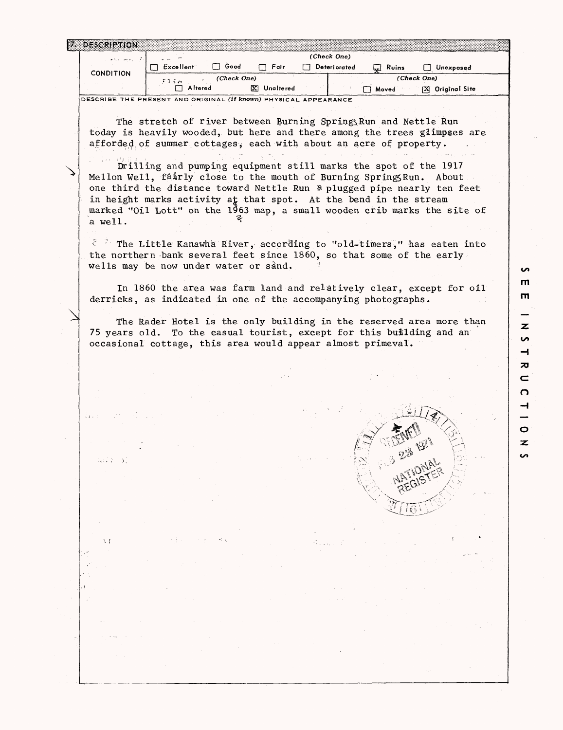|                                                                         | Excellent <sup>®</sup> | ∐ Good      | $\sqcap$ Fair | Deteriorated                                                                                                                                   | $\Box$ Ruins | $\Box$ Unexposed        |  |
|-------------------------------------------------------------------------|------------------------|-------------|---------------|------------------------------------------------------------------------------------------------------------------------------------------------|--------------|-------------------------|--|
| <b>CONDITION</b>                                                        | F16n                   | (Check One) |               |                                                                                                                                                |              | (Check One)             |  |
|                                                                         | $\Box$ Altered         |             | X Unaltered   |                                                                                                                                                | $\Box$ Moved | <b>XI</b> Original Site |  |
| DESCRIBE THE PRESENT AND ORIGINAL <i>(if known)</i> PHYSICAL APPEARANCE |                        |             |               |                                                                                                                                                |              |                         |  |
|                                                                         |                        |             |               | The stretch of river between Burning Spring Run and Nettle Run                                                                                 |              |                         |  |
|                                                                         |                        |             |               | today is heavily wooded, but here and there among the trees glimpses are                                                                       |              |                         |  |
|                                                                         |                        |             |               | afforded of summer cottages, each with about an acre of property.                                                                              |              |                         |  |
|                                                                         |                        |             |               |                                                                                                                                                |              |                         |  |
|                                                                         |                        |             |               | Drilling and pumping equipment still marks the spot of the 1917                                                                                |              |                         |  |
|                                                                         |                        |             |               | Mellon Well, fairly close to the mouth of Burning Spring Run. About<br>one third the distance toward Nettle Run @ plugged pipe nearly ten feet |              |                         |  |
|                                                                         |                        |             |               | in height marks activity at that spot. At the bend in the stream                                                                               |              |                         |  |
|                                                                         |                        |             |               | marked "Oil Lott" on the 1963 map, a small wooden crib marks the site of                                                                       |              |                         |  |
| a well.                                                                 |                        |             |               |                                                                                                                                                |              |                         |  |
|                                                                         |                        |             |               |                                                                                                                                                |              |                         |  |
| - 67                                                                    |                        |             |               | The Little Kanawha River, according to "old-timers," has eaten into                                                                            |              |                         |  |
| wells may be now under water or sand.                                   |                        |             |               | the northern bank several feet since 1860, so that some of the early                                                                           |              |                         |  |
|                                                                         |                        |             |               |                                                                                                                                                |              |                         |  |
|                                                                         |                        |             |               | In 1860 the area was farm land and relatively clear, except for oil                                                                            |              |                         |  |
|                                                                         |                        |             |               | derricks, as indicated in one of the accompanying photographs.                                                                                 |              |                         |  |
|                                                                         |                        |             |               |                                                                                                                                                |              |                         |  |
| 75 years old.                                                           |                        |             |               | The Rader Hotel is the only building in the reserved area more than<br>To the casual tourist, except for this building and an                  |              |                         |  |
|                                                                         |                        |             |               |                                                                                                                                                |              |                         |  |
|                                                                         |                        |             |               |                                                                                                                                                |              |                         |  |
|                                                                         |                        |             |               | occasional cottage, this area would appear almost primeval.                                                                                    |              |                         |  |
|                                                                         |                        |             |               |                                                                                                                                                |              |                         |  |
|                                                                         |                        |             |               |                                                                                                                                                |              |                         |  |
|                                                                         |                        |             |               |                                                                                                                                                |              |                         |  |
|                                                                         |                        |             |               |                                                                                                                                                |              |                         |  |
| $1.3 - 1.$                                                              |                        |             |               |                                                                                                                                                |              |                         |  |
|                                                                         |                        |             |               |                                                                                                                                                |              |                         |  |
|                                                                         |                        |             |               |                                                                                                                                                |              |                         |  |
| les listes.                                                             |                        |             |               |                                                                                                                                                |              |                         |  |
|                                                                         |                        |             |               |                                                                                                                                                |              |                         |  |
|                                                                         |                        |             |               |                                                                                                                                                |              |                         |  |
|                                                                         |                        |             |               |                                                                                                                                                |              |                         |  |
|                                                                         |                        |             |               |                                                                                                                                                |              |                         |  |
|                                                                         |                        |             |               |                                                                                                                                                |              |                         |  |
| M                                                                       |                        |             |               |                                                                                                                                                |              |                         |  |
|                                                                         |                        |             |               |                                                                                                                                                |              |                         |  |
|                                                                         |                        |             |               |                                                                                                                                                |              |                         |  |
|                                                                         |                        |             |               |                                                                                                                                                |              |                         |  |
|                                                                         |                        |             |               |                                                                                                                                                |              |                         |  |
|                                                                         |                        |             |               |                                                                                                                                                |              |                         |  |
|                                                                         |                        |             |               |                                                                                                                                                |              |                         |  |
|                                                                         |                        |             |               |                                                                                                                                                |              |                         |  |
|                                                                         |                        |             |               |                                                                                                                                                |              |                         |  |
|                                                                         |                        |             |               |                                                                                                                                                |              |                         |  |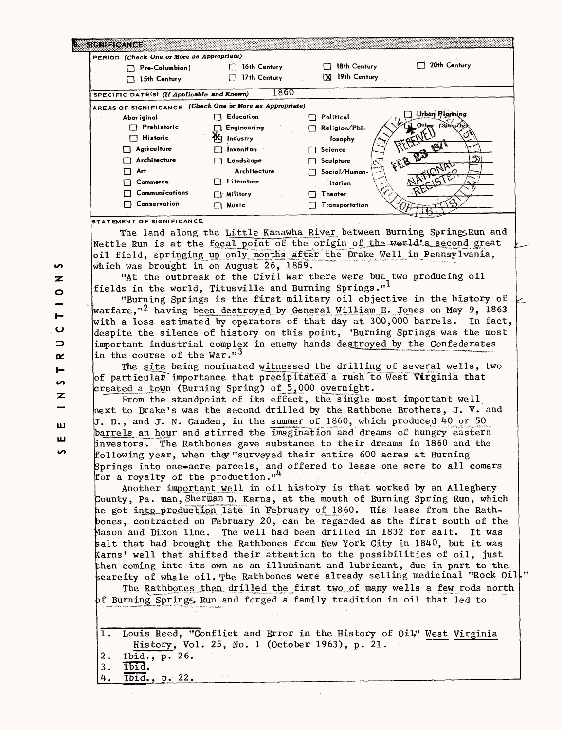| <b>SIGNIFICANCE</b> |                                            |                                    |                         |                             |
|---------------------|--------------------------------------------|------------------------------------|-------------------------|-----------------------------|
|                     | PERIOD (Check One or More as Appropriate)  |                                    |                         |                             |
|                     | Pre-Columbian                              | 16th Century                       | 18th Century            | 20th Century                |
|                     | 15th Century                               | 17th Century<br>ιı                 | 19th Century<br>IX.     |                             |
|                     | SPECIFIC DATE(S) (If Applicable and Known) | 1860                               |                         |                             |
|                     | AREAS OF SIGNIFICANCE                      | (Check One or More as Appropriate) |                         |                             |
|                     | Abor iginal                                | <b>Education</b>                   | Political               | Urban Planning              |
|                     | Prehistoric                                | Engineering                        | Religion/Phi-           | Other (Specify)             |
|                     | Historic<br>ΙI                             | 的<br>Industry                      | losophy                 |                             |
|                     | Agriculture                                | Invention                          | Science<br>⊓            | 4B)                         |
|                     | Architecture                               | Landscape                          | Sculpture-              | $\mathcal{D}^3$<br>ை<br>EEP |
|                     | Art                                        | Architecture                       | years?<br>Social/Human- |                             |
|                     | Commerce                                   | Literature                         | itarian                 |                             |
|                     | Communications                             | Military                           | Theater                 |                             |
|                     | $\Box$ Conservation                        | Music                              | Transportation          |                             |
|                     |                                            |                                    |                         |                             |

**STATEMENT OF SIGNIFICANCE** 

The land along the Little Kanawha River between Burning SpringsRun and Nettle Run is at the focal point of the origin of the world's second great oil field, springing up only months after the Drake Well in Pennsylvania, which was brought in on August 26, 1859.

"At the outbreak of the Civil War there were but two producing oil fields in the world, Titusville and Burning Springs."<sup>1</sup>

"Burning Springs is the first military oil objective in the history of warfare,"2 having been\_destroyed by General *yilLJiiamE. Jones* on May 9, 1863 with a loss estimated by operators of that day at 300,000 barrels. In fact, despite the silence of history on this point, 'Burning Springs was the most important industrial complex in enemy hands destroyed by the Confederates in the course of the War.<sup> $13$ </sup>

The site being nominated witnessed the drilling of several wells, two  $|$ of particular importance that precipitated a rush to West Virginia that created a town (Burning Spring) of  $5,000$  overnight.

From the standpoint of its effect, the single most important well next to Drake's was the second drilled by the Rathbone Brothers, J. V. and J. D., and J. N. Camden, in the summer of I860, which produced 40 or 50 barrels an hour and stirred the imagination and dreams of hungry eastern investors. The Rathbones gave substance to their dreams in 1860 and the  $f$ ollowing year, when they "surveyed their entire 600 acres at Burning prings into one-acre parcels, and offered to lease one acre to all comers for a royalty of the production."<sup>4</sup>

Another important well in oil history is that worked by an Allegheny County, Pa. man, Sherman D. Karns, at the mouth of Burning Spring Run, which he got into production late in February of 1860. His lease from the Rathbones, contracted on February 20, can be regarded as the first south of the Mason and Dixon line. The well had been drilled in 1832 for salt. It was alt that had brought the Rathbones from New York City in 1840, but it was arns' well that shifted their attention to the possibilities of oil, just hen coming into its own as an illuminant and lubricant, due in part to the scarcity of whale oil. The Rathbones were already selling medicinal "Rock Oil."

The Rathbones then drilled the first two of many wells a few rods north  $bf$  Burning Springs Run and forged a family tradition in oil that led to

1. Louis Reed, "Conflict and Error in the History of Oil," West Virginia History, Vol. 25, No. 1 (October 1963), p. 21.  $2.$ Ibid., p. 26.

- IbTd.  $3.$
- Ibid., p 4.

S  $\mathbf{z}$  $\bullet$  $\vdash$  $\mathbf{\omega}$  $\Rightarrow$ œ  $\blacksquare$  $\mathbf{v}$ z **LLJ LU**

 $\sim$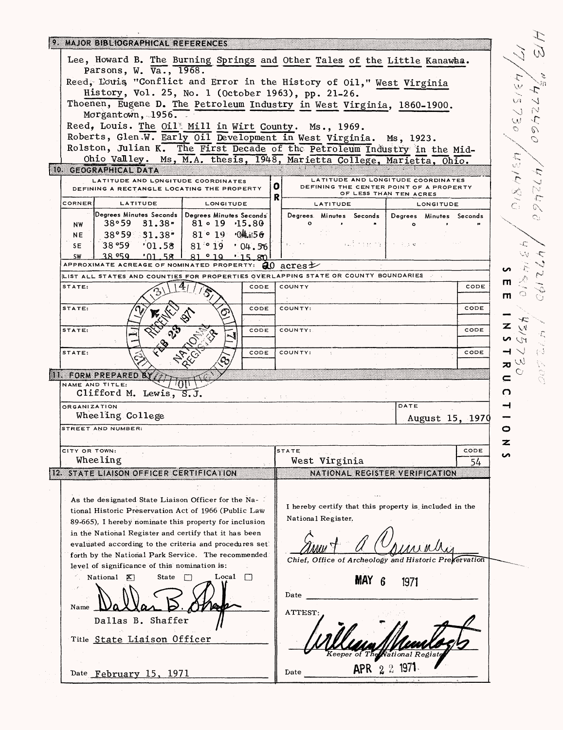| 9. MAJOR BIBLIOGRAPHICAL REFERENCES                                                                                         |                                                                                      |                  |
|-----------------------------------------------------------------------------------------------------------------------------|--------------------------------------------------------------------------------------|------------------|
| Lee, Howard B. The Burning Springs and Other Tales of the Little Kanawha.                                                   |                                                                                      |                  |
| Parsons, W. Va., 1968.                                                                                                      |                                                                                      | 专                |
| Reed. Louis "Conflict and Error in the History of Oil," West Virginia<br>History, Vol. 25, No. 1 (October 1963), pp. 21-26. |                                                                                      | W.               |
| Thoenen, Eugene D. The Petroleum Industry in West Virginia, 1860-1900.                                                      |                                                                                      |                  |
| Morgantown, 1956.                                                                                                           |                                                                                      | $\mathbf{W}$     |
| Reed, Louis. The Oil <sup>®</sup> Mill in Wirt County. Ms., 1969.                                                           |                                                                                      | $\circ$          |
| Roberts, Glen.W. Early Oil Development in West Virginia. Ms, 1923.                                                          |                                                                                      |                  |
| Rolston, Julian K. The First Decade of the Petroleum Industry in the Mid-                                                   | Ohio Valley. Ms, M.A. thesis, 1948, Marietta College, Marietta, Ohio.                |                  |
| 10 GEOGRAPHICAL DATA                                                                                                        |                                                                                      | $0/8$ $M\approx$ |
| LATITUDE AND LONGITUDE COORDINATES                                                                                          | LATITUDE AND LONGITUDE COORDINATES<br>O I<br>DEFINING THE CENTER POINT OF A PROPERTY |                  |
| DEFINING A RECTANGLE LOCATING THE PROPERTY                                                                                  | OF LESS THAN TEN ACRES<br>R                                                          |                  |
| <b>CORNER</b><br>LATITUDE<br>LONGITUDE                                                                                      | LATITUDE<br>LONGITUDE                                                                |                  |
| Degrees Minutes Seconds   Degrees Minutes Seconds<br>38°59<br>$31.38$ "<br>$  81 \cdot 19 \cdot 15.80$<br><b>NW</b>         | Degrees Minutes Seconds<br>Degrees Minutes Seconds                                   |                  |
| 38°59°31.38"<br>81 $\circ$ 19 $\sqrt{04}$ \$56<br>NE.                                                                       |                                                                                      |                  |
| $38°59$ '01.58<br>81' 04.56<br><b>SE</b>                                                                                    | s and the most<br>in Fisca                                                           | -0               |
| $38959$ $0158$<br>81°19'15.80<br><b>SW</b><br>APPROXIMATE ACREAGE OF NOMINATED PROPERTY: 20 aCTES 1                         |                                                                                      | W                |
| LIST ALL STATES AND COUNTIES FOR PROPERTIES OVERLAPPING STATE OR COUNTY BOUNDARIES                                          |                                                                                      |                  |
| CODE<br>STATE:                                                                                                              | COUNTY<br>CODE                                                                       |                  |
|                                                                                                                             |                                                                                      | т                |
| CODE<br>STATE:                                                                                                              | COUNTY:<br>CODE                                                                      |                  |
| CODE<br>STATE:                                                                                                              | COUNTY:<br>CODE                                                                      | z<br>W           |
|                                                                                                                             |                                                                                      |                  |
| CODE<br>STATE:                                                                                                              | CODE<br>COUNTY:                                                                      |                  |
|                                                                                                                             |                                                                                      |                  |
| 11 FORM PREPARED BY<br>NAME AND TITLE:                                                                                      |                                                                                      |                  |
| Clifford M. Lewis, S.J.                                                                                                     |                                                                                      | O                |
| <b>ORGANIZATION</b>                                                                                                         | DATE                                                                                 |                  |
| Wheeling College                                                                                                            | August 15, 1970                                                                      |                  |
| <b>STREET AND NUMBER:</b>                                                                                                   |                                                                                      | O                |
| CITY OR TOWN:                                                                                                               | STATE<br>CODE                                                                        | z                |
| Wheeling                                                                                                                    | West Virginia<br>54                                                                  | n                |
| 12 STATE LIAISON OFFICER CERTIFICATION                                                                                      | NATIONAL REGISTER VERIFICATION                                                       |                  |
|                                                                                                                             |                                                                                      |                  |
| As the designated State Liaison Officer for the Na-                                                                         |                                                                                      |                  |
| tional Historic Preservation Act of 1966 (Public Law                                                                        | I hereby certify that this property is included in the                               |                  |
| 89-665). I hereby nominate this property for inclusion                                                                      | National Register.                                                                   |                  |
| in the National Register and certify that it has been<br>evaluated according to the criteria and procedures set.            |                                                                                      |                  |
| forth by the National Park Service. The recommended                                                                         |                                                                                      |                  |
| level of significance of this nomination is:                                                                                | Chief, Office of Archeology and Historic Preservation                                |                  |
| Local<br>National <b>X</b><br>State<br>$\Box$                                                                               | MAY 6<br>1971                                                                        |                  |
|                                                                                                                             | Date                                                                                 |                  |
| Name                                                                                                                        |                                                                                      |                  |
|                                                                                                                             | ATTEST:                                                                              |                  |
|                                                                                                                             |                                                                                      |                  |
| Dallas B. Shaffer                                                                                                           |                                                                                      |                  |
| Title State Liaison Officer                                                                                                 |                                                                                      |                  |
|                                                                                                                             | helNational                                                                          |                  |
| Date February 15, 1971                                                                                                      | APR 2 2 1971<br>Date                                                                 |                  |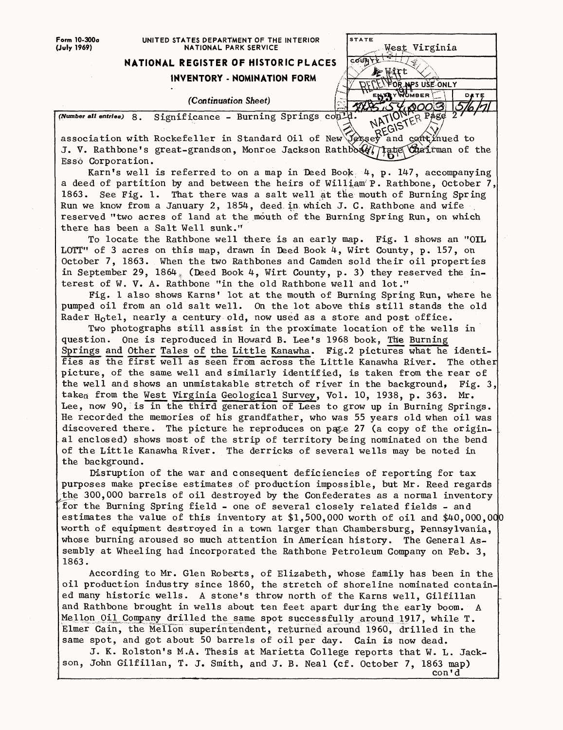**Form 10-300a (July 1969)**

#### **UNITED STATES DEPARTMENT OF THE INTERIOR NATIONAL PARK SERVICE**

# **NATIONAL REGISTER OF HISTORIC PLACES**

#### **INVENTORY - NOMINATION FORM**

*(Continuation Sheet)*

| <b>STATE</b>  |  |
|---------------|--|
| West Virginia |  |
| ςø            |  |
|               |  |
| 'S USE ONLY   |  |
| MBER          |  |
|               |  |
|               |  |

*(Number an entries)* g. Significance - Burning Springs

and continued to J. V. Rathbone's great-grandson, Monroe Jackson Rathbor() late Chairman of the association with Rockefeller in Standard Oil of New J. V. Rathbone's great-grandson, Monroe Jackson Rathbone Esso Corporation.

Karn's well is referred to on a map in Deed Book 4, p. 147, accompanying a deed of partition by and between the heirs of William'P. Rathbone, October 7, 1863. See Fig. 1. That there was a salt well at the mouth of Burning Spring Run we know from a January 2, 1854, deed,in which J. C. Rathbone and wife reserved "two acres of land at the mouth of the Burning Spring Run, on which there has been a Salt Well sunk."

To locate the Rathbone well there is an early map. Fig. 1 shows an "OIL LOTT" of 3 acres on this map, drawn in Deed Book 4, Wirt County, p. 157, on October 7, 1863. When the two Rathbones and Camden sold their oil properties in September 29,  $1864$ , (Deed Book 4, Wirt County, p. 3) they reserved the interest of W. V. A. Rathbone "in the old Rathbone well and lot."

Fig. 1 also shows Karns' lot at the mouth of Burning Spring Run, where he Fig. I also shows Karns for at the modified burning spring Kun, where he<br>pumped oil from an old salt well. On the lot above this still stands the old pamped off from an old said weff. On the for above this stiff stands to Rader Hotel, nearly a century old, now used as a store and post office.

Two photographs still assist in the proximate location of the wells in question. One is reproduced in Howard B. Lee's 1968 book, The Burning Springs and Other Tales of the Little Kanawha. Fig.2 pictures what he identifies as the first well as seen from across the Little Kanawha River. The other picture, of the same well and similarly identified, is taken from the rear of the well and shows an unmistakable stretch of river in the background, Fig. 3, takea from the West Virginia Geological Survey, Vol. 10, 1938, p. 363. Mr. Lee, now 90, is in the third generation of Lees to grow up in Burning Springs. He recorded the memories of his grandfather, who was 55 years old when oil was discovered there. The picture he reproduces on page 27 (a copy of the original enclosed) shows most of the strip of territory being nominated on the bend of the Little Kanawha River. The derricks of several wells may be noted in the background.

Disruption of the war and consequent deficiencies of reporting for tax purposes make precise estimates of production impossible, but Mr. Reed regards the 300,000 barrels of oil destroyed by the Confederates as a normal inventory for the Burning Spring field - one of several closely related fields - and estimates the value of this inventory at \$1,500,000 worth of oil and \$40,000,000 worth of equipment destroyed in a town larger than Chambersburg, Pennsylvania, whose burning aroused so much attention in American history. The General Assembly at Wheeling had incorporated the Rathbone Petroleum Company on Feb. 3, 1863.

According to Mr. Glen Roberts, of Elizabeth, whose family has been in the oil production industry since 1860, the stretch of shoreline nominated contained many historic wells. A stone's throw north of the Karns well, Gilfillan and Rathbone brought in wells about ten feet apart during the early boom. A Mellon Oil Company drilled the same spot successfully around 1917, while T. Elmer Cain, the Mellon superintendent, returned around 1960, drilled in the same spot, and got about 50 barrels of oil per day. Cain is now dead.

J. K. Rolston's M.A. Thesis at Marietta College reports that W. L. Jackson, John Gilfillan, T. J. Smith, and J. B. Neal (cf. October 7, 1863 map)

con'd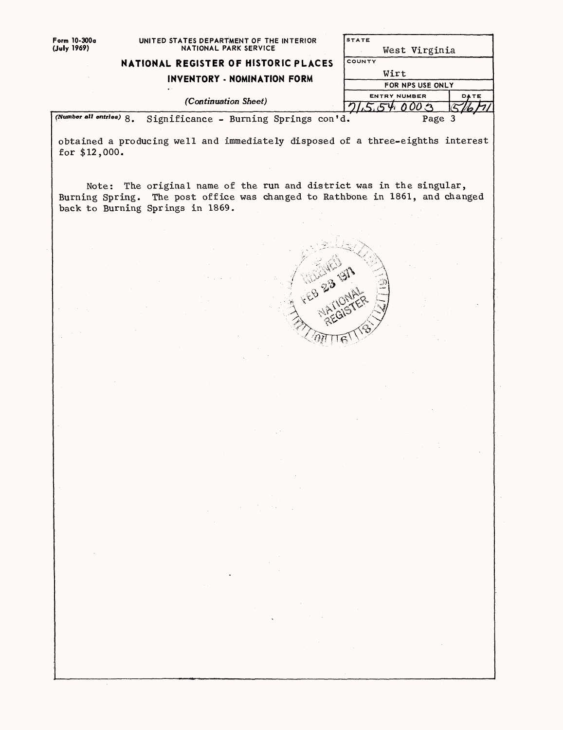| Form 10-300a            | UNITED STATES DEPARTMENT OF THE INTERIOR                                                                                                                                                 | <b>STATE</b>                                                                             |            |  |
|-------------------------|------------------------------------------------------------------------------------------------------------------------------------------------------------------------------------------|------------------------------------------------------------------------------------------|------------|--|
| (July 1969)             | NATIONAL PARK SERVICE                                                                                                                                                                    | West Virginia<br>COUNTY<br>Wirt                                                          |            |  |
|                         | NATIONAL REGISTER OF HISTORIC PLACES                                                                                                                                                     |                                                                                          |            |  |
|                         | INVENTORY - NOMINATION FORM                                                                                                                                                              | FOR NPS USE ONLY                                                                         |            |  |
|                         |                                                                                                                                                                                          | <b>ENTRY NUMBER</b>                                                                      | DATE       |  |
|                         | (Continuation Sheet)                                                                                                                                                                     |                                                                                          |            |  |
| (Number all entries) 8. | Significance - Burning Springs con'd.                                                                                                                                                    | Page 3                                                                                   |            |  |
| for $$12,000.$          | obtained a producing well and immediately disposed of a three-eighths interest                                                                                                           |                                                                                          |            |  |
|                         | Note: The original name of the run and district was in the singular,<br>Burning Spring. The post office was changed to Rathbone in 1861, and changed<br>back to Burning Springs in 1869. |                                                                                          |            |  |
|                         |                                                                                                                                                                                          |                                                                                          |            |  |
|                         |                                                                                                                                                                                          |                                                                                          |            |  |
|                         |                                                                                                                                                                                          |                                                                                          |            |  |
|                         |                                                                                                                                                                                          |                                                                                          |            |  |
|                         |                                                                                                                                                                                          |                                                                                          |            |  |
|                         |                                                                                                                                                                                          |                                                                                          |            |  |
|                         |                                                                                                                                                                                          |                                                                                          |            |  |
|                         |                                                                                                                                                                                          |                                                                                          |            |  |
|                         |                                                                                                                                                                                          |                                                                                          |            |  |
|                         |                                                                                                                                                                                          |                                                                                          |            |  |
|                         |                                                                                                                                                                                          |                                                                                          |            |  |
|                         |                                                                                                                                                                                          |                                                                                          |            |  |
|                         |                                                                                                                                                                                          |                                                                                          |            |  |
|                         |                                                                                                                                                                                          |                                                                                          |            |  |
|                         |                                                                                                                                                                                          |                                                                                          |            |  |
|                         | $\sim 4.2\%$ and $\sim$                                                                                                                                                                  |                                                                                          |            |  |
|                         |                                                                                                                                                                                          |                                                                                          |            |  |
|                         |                                                                                                                                                                                          | $\mathcal{L}_{\text{max}}$ and $\mathcal{L}_{\text{max}}$ and $\mathcal{L}_{\text{max}}$ | $\sim$ $-$ |  |
|                         |                                                                                                                                                                                          |                                                                                          |            |  |
|                         | $\mathcal{L}^{\text{max}}_{\text{max}}$ and $\mathcal{L}^{\text{max}}_{\text{max}}$ and $\mathcal{L}^{\text{max}}_{\text{max}}$                                                          |                                                                                          |            |  |
|                         | $\sim 10^{11}$                                                                                                                                                                           |                                                                                          |            |  |
|                         |                                                                                                                                                                                          |                                                                                          |            |  |
|                         | $\sim 1000$ km s $^{-1}$                                                                                                                                                                 |                                                                                          |            |  |
|                         |                                                                                                                                                                                          |                                                                                          |            |  |
|                         |                                                                                                                                                                                          |                                                                                          |            |  |
|                         |                                                                                                                                                                                          |                                                                                          |            |  |
|                         |                                                                                                                                                                                          |                                                                                          |            |  |
|                         | $\sim 10^{11}$ km $^{-1}$                                                                                                                                                                |                                                                                          |            |  |
|                         | $\mathcal{L}(\mathcal{A})$ and $\mathcal{L}(\mathcal{A})$                                                                                                                                |                                                                                          |            |  |
|                         |                                                                                                                                                                                          | $\mathcal{L}^{\mathcal{L}}(\mathcal{A})$ and $\mathcal{L}^{\mathcal{L}}(\mathcal{A})$ .  |            |  |
|                         |                                                                                                                                                                                          |                                                                                          |            |  |
|                         |                                                                                                                                                                                          |                                                                                          |            |  |
|                         |                                                                                                                                                                                          |                                                                                          |            |  |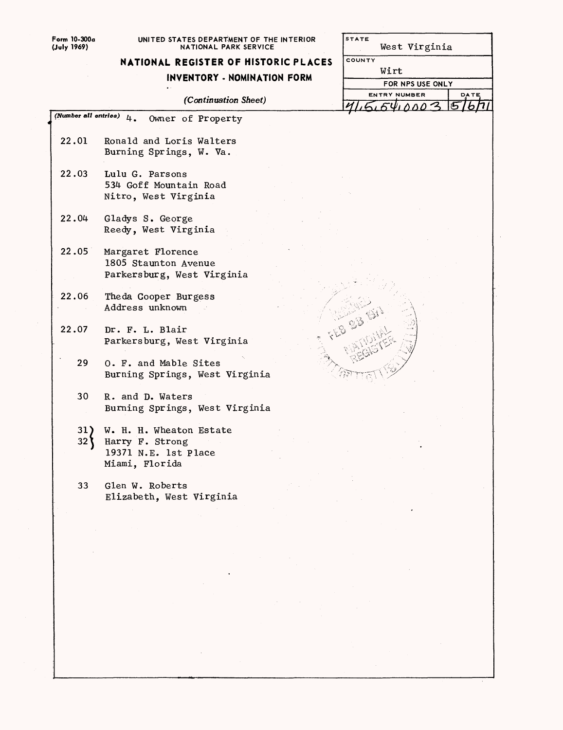Form 10-300a **(July 1969)**

| UNITED STATES DEPARTMENT OF THE INTERIOR |
|------------------------------------------|
| NATIONAL PARK SERVICE                    |

 $5TATE$ West Virginia

Wirt

COUNTY

# **NATIONAL REGISTER OF HISTORIC PLACES**

## **INVENTORY - NOMINATION FORM**

|                              | ייוויי דוסו ואיוווישיו י ואט                                                         |                     | FOR NPS USE ONLY |      |
|------------------------------|--------------------------------------------------------------------------------------|---------------------|------------------|------|
|                              | (Continuation Sheet)                                                                 | <b>ENTRY NUMBER</b> |                  | DATE |
|                              |                                                                                      |                     | $\Lambda$        |      |
| (Number all entries) $\mu$ . | Owner of Property                                                                    |                     |                  |      |
| 22.01                        | Ronald and Loris Walters<br>Burning Springs, W. Va.                                  |                     |                  |      |
| 22.03                        | Lulu G. Parsons<br>534 Goff Mountain Road<br>Nitro, West Virginia                    |                     |                  |      |
| 22.04                        | Gladys S. George<br>Reedy, West Virginia                                             |                     |                  |      |
| 22.05                        | Margaret Florence<br>1805 Staunton Avenue<br>Parkersburg, West Virginia              |                     |                  |      |
| 22.06                        | Theda Cooper Burgess<br>Address unknown                                              |                     |                  |      |
| 22.07                        | Dr. F. L. Blair<br>Parkersburg, West Virginia                                        |                     |                  |      |
| 29                           | O. F. and Mable Sites<br>Burning Springs, West Virginia                              |                     |                  |      |
| 30                           | R. and D. Waters<br>Burning Springs, West Virginia                                   |                     |                  |      |
| 31)<br>32                    | W. H. H. Wheaton Estate<br>Harry F. Strong<br>19371 N.E. 1st Place<br>Miami, Florida |                     |                  |      |
| 33                           | Glen W. Roberts<br>Elizabeth, West Virginia                                          |                     |                  |      |
|                              |                                                                                      |                     |                  |      |